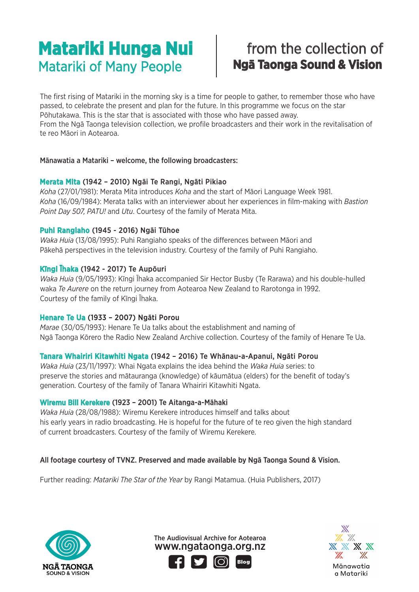### Matariki of Many People **Ngā Taonga Sound & Vision Matariki Hunga Nui**

# from the collection of

The first rising of Matariki in the morning sky is a time for people to gather, to remember those who have passed, to celebrate the present and plan for the future. In this programme we focus on the star Pōhutakawa. This is the star that is associated with those who have passed away. From the Ngā Taonga television collection, we profile broadcasters and their work in the revitalisation of te reo Māori in Aotearoa.

### Mānawatia a Matariki – welcome, the following broadcasters:

### Merata Mita (1942 – 2010) Ngāi Te Rangi, Ngāti Pikiao

*Koha* (27/01/1981): Merata Mita introduces *Koha* and the start of Māori Language Week 1981. *Koha* (16/09/1984): Merata talks with an interviewer about her experiences in film-making with *Bastion Point Day 507, PATU!* and *Utu*. Courtesy of the family of Merata Mita.

### Puhi Rangiaho (1945 - 2016) Ngāi Tūhoe

*Waka Huia* (13/08/1995): Puhi Rangiaho speaks of the differences between Māori and Pākehā perspectives in the television industry. Courtesy of the family of Puhi Rangiaho.

### Kīngi Īhaka (1942 - 2017) Te Aupōuri

*Waka Huia* (9/05/1993): Kīngi Īhaka accompanied Sir Hector Busby (Te Rarawa) and his double-hulled waka *Te Aurere* on the return journey from Aotearoa New Zealand to Rarotonga in 1992. Courtesy of the family of Kīngi Īhaka.

### Henare Te Ua (1933 – 2007) Ngāti Porou

*Marae* (30/05/1993): Henare Te Ua talks about the establishment and naming of Ngā Taonga Kōrero the Radio New Zealand Archive collection. Courtesy of the family of Henare Te Ua.

### Tanara Whairiri Kitawhiti Ngata (1942 – 2016) Te Whānau-a-Apanui, Ngāti Porou

*Waka Huia* (23/11/1997): Whai Ngata explains the idea behind the *Waka Huia* series: to preserve the stories and mātauranga (knowledge) of kāumātua (elders) for the benefit of today's generation. Courtesy of the family of Tanara Whairiri Kitawhiti Ngata.

### Wiremu Bill Kerekere (1923 – 2001) Te Aitanga-a-Māhaki

*Waka Huia* (28/08/1988): Wiremu Kerekere introduces himself and talks about his early years in radio broadcasting. He is hopeful for the future of te reo given the high standard of current broadcasters. Courtesy of the family of Wiremu Kerekere.

### All footage courtesy of TVNZ. Preserved and made available by Ngā Taonga Sound & Vision.

Further reading: *Matariki The Star of the Year* by Rangi Matamua. (Huia Publishers, 2017)



www.ngataonga.org.nz The Audiovisual Archive for Aotearoa